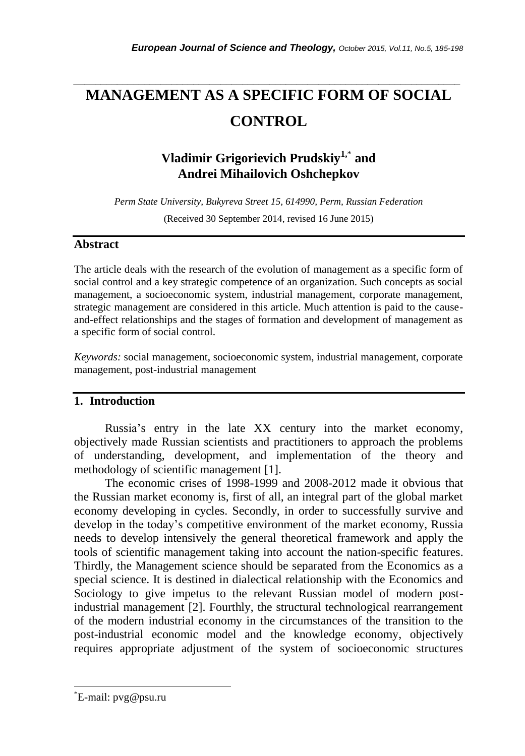# **MANAGEMENT AS A SPECIFIC FORM OF SOCIAL CONTROL**

*\_\_\_\_\_\_\_\_\_\_\_\_\_\_\_\_\_\_\_\_\_\_\_\_\_\_\_\_\_\_\_\_\_\_\_\_\_\_\_\_\_\_\_\_\_\_\_\_\_\_\_\_\_\_\_\_\_\_\_\_\_\_\_\_\_\_\_\_\_\_\_*

## **Vladimir Grigorievich Prudskiy1,**\* **and Andrei Mihailovich Oshchepkov**

*Perm State University, Bukyreva Street 15, 614990, Perm, Russian Federation*

(Received 30 September 2014, revised 16 June 2015)

### **Abstract**

The article deals with the research of the evolution of management as a specific form of social control and a key strategic competence of an organization. Such concepts as social management, a socioeconomic system, industrial management, corporate management, strategic management are considered in this article. Much attention is paid to the causeand-effect relationships and the stages of formation and development of management as a specific form of social control.

*Keywords:* social management, socioeconomic system, industrial management, corporate management, post-industrial management

### **1. Introduction**

Russia's entry in the late XX century into the market economy, objectively made Russian scientists and practitioners to approach the problems of understanding, development, and implementation of the theory and methodology of scientific management [1].

The economic crises of 1998-1999 and 2008-2012 made it obvious that the Russian market economy is, first of all, an integral part of the global market economy developing in cycles. Secondly, in order to successfully survive and develop in the today's competitive environment of the market economy, Russia needs to develop intensively the general theoretical framework and apply the tools of scientific management taking into account the nation-specific features. Thirdly, the Management science should be separated from the Economics as a special science. It is destined in dialectical relationship with the Economics and Sociology to give impetus to the relevant Russian model of modern postindustrial management [2]. Fourthly, the structural technological rearrangement of the modern industrial economy in the circumstances of the transition to the post-industrial economic model and the knowledge economy, objectively requires appropriate adjustment of the system of socioeconomic structures

l

<sup>\*</sup>E-mail: pvg@psu.ru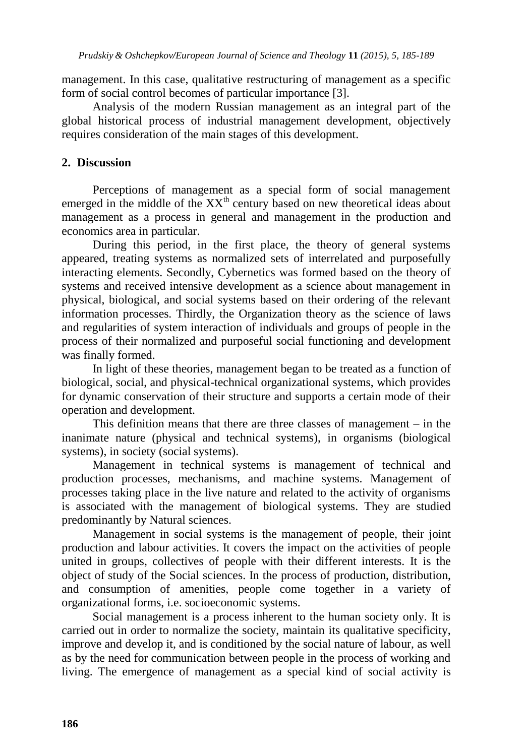management. In this case, qualitative restructuring of management as a specific form of social control becomes of particular importance [3].

Analysis of the modern Russian management as an integral part of the global historical process of industrial management development, objectively requires consideration of the main stages of this development.

### **2. Discussion**

Perceptions of management as a special form of social management emerged in the middle of the  $XX<sup>th</sup>$  century based on new theoretical ideas about management as a process in general and management in the production and economics area in particular.

During this period, in the first place, the theory of general systems appeared, treating systems as normalized sets of interrelated and purposefully interacting elements. Secondly, Cybernetics was formed based on the theory of systems and received intensive development as a science about management in physical, biological, and social systems based on their ordering of the relevant information processes. Thirdly, the Organization theory as the science of laws and regularities of system interaction of individuals and groups of people in the process of their normalized and purposeful social functioning and development was finally formed.

In light of these theories, management began to be treated as a function of biological, social, and physical-technical organizational systems, which provides for dynamic conservation of their structure and supports a certain mode of their operation and development.

This definition means that there are three classes of management – in the inanimate nature (physical and technical systems), in organisms (biological systems), in society (social systems).

Management in technical systems is management of technical and production processes, mechanisms, and machine systems. Management of processes taking place in the live nature and related to the activity of organisms is associated with the management of biological systems. They are studied predominantly by Natural sciences.

Management in social systems is the management of people, their joint production and labour activities. It covers the impact on the activities of people united in groups, collectives of people with their different interests. It is the object of study of the Social sciences. In the process of production, distribution, and consumption of amenities, people come together in a variety of organizational forms, i.e. socioeconomic systems.

Social management is a process inherent to the human society only. It is carried out in order to normalize the society, maintain its qualitative specificity, improve and develop it, and is conditioned by the social nature of labour, as well as by the need for communication between people in the process of working and living. The emergence of management as a special kind of social activity is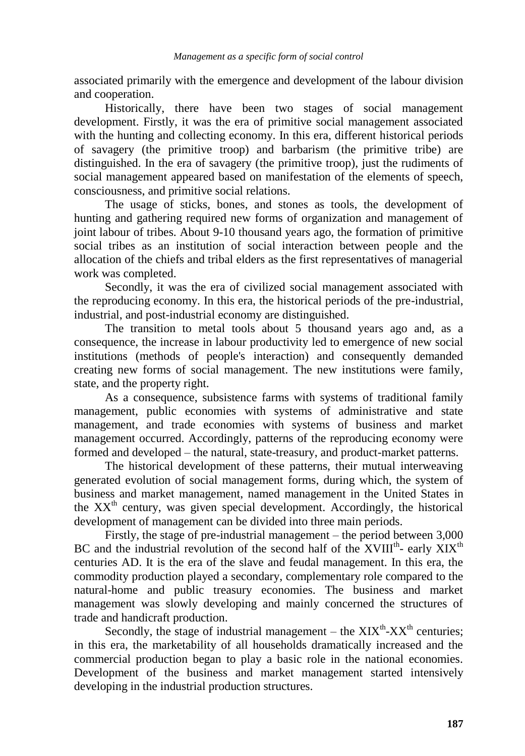associated primarily with the emergence and development of the labour division and cooperation.

Historically, there have been two stages of social management development. Firstly, it was the era of primitive social management associated with the hunting and collecting economy. In this era, different historical periods of savagery (the primitive troop) and barbarism (the primitive tribe) are distinguished. In the era of savagery (the primitive troop), just the rudiments of social management appeared based on manifestation of the elements of speech, consciousness, and primitive social relations.

The usage of sticks, bones, and stones as tools, the development of hunting and gathering required new forms of organization and management of joint labour of tribes. About 9-10 thousand years ago, the formation of primitive social tribes as an institution of social interaction between people and the allocation of the chiefs and tribal elders as the first representatives of managerial work was completed.

Secondly, it was the era of civilized social management associated with the reproducing economy. In this era, the historical periods of the pre-industrial, industrial, and post-industrial economy are distinguished.

The transition to metal tools about 5 thousand years ago and, as a consequence, the increase in labour productivity led to emergence of new social institutions (methods of people's interaction) and consequently demanded creating new forms of social management. The new institutions were family, state, and the property right.

As a consequence, subsistence farms with systems of traditional family management, public economies with systems of administrative and state management, and trade economies with systems of business and market management occurred. Accordingly, patterns of the reproducing economy were formed and developed – the natural, state-treasury, and product-market patterns.

The historical development of these patterns, their mutual interweaving generated evolution of social management forms, during which, the system of business and market management, named management in the United States in the  $XX<sup>th</sup>$  century, was given special development. Accordingly, the historical development of management can be divided into three main periods.

Firstly, the stage of pre-industrial management – the period between 3,000 BC and the industrial revolution of the second half of the  $XVIII^{th}$ - early  $XIX^{th}$ centuries AD. It is the era of the slave and feudal management. In this era, the commodity production played a secondary, complementary role compared to the natural-home and public treasury economies. The business and market management was slowly developing and mainly concerned the structures of trade and handicraft production.

Secondly, the stage of industrial management – the  $XIX<sup>th</sup>-XX<sup>th</sup>$  centuries; in this era, the marketability of all households dramatically increased and the commercial production began to play a basic role in the national economies. Development of the business and market management started intensively developing in the industrial production structures.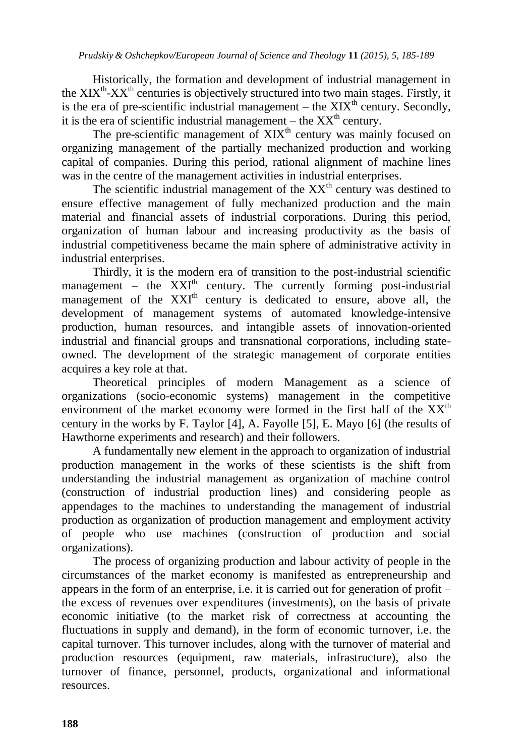Historically, the formation and development of industrial management in the  $XIX<sup>th</sup>-XX<sup>th</sup>$  centuries is objectively structured into two main stages. Firstly, it is the era of pre-scientific industrial management – the  $XIX<sup>th</sup>$  century. Secondly, it is the era of scientific industrial management – the  $XX<sup>th</sup>$  century.

The pre-scientific management of  $XIX<sup>th</sup>$  century was mainly focused on organizing management of the partially mechanized production and working capital of companies. During this period, rational alignment of machine lines was in the centre of the management activities in industrial enterprises.

The scientific industrial management of the  $XX<sup>th</sup>$  century was destined to ensure effective management of fully mechanized production and the main material and financial assets of industrial corporations. During this period, organization of human labour and increasing productivity as the basis of industrial competitiveness became the main sphere of administrative activity in industrial enterprises.

Thirdly, it is the modern era of transition to the post-industrial scientific management – the  $XXI<sup>th</sup>$  century. The currently forming post-industrial management of the XXI<sup>th</sup> century is dedicated to ensure, above all, the development of management systems of automated knowledge-intensive production, human resources, and intangible assets of innovation-oriented industrial and financial groups and transnational corporations, including stateowned. The development of the strategic management of corporate entities acquires a key role at that.

Theoretical principles of modern Management as a science of organizations (socio-economic systems) management in the competitive environment of the market economy were formed in the first half of the  $XX<sup>th</sup>$ century in the works by F. Taylor [4], A. Fayolle [5], E. Mayo [6] (the results of Hawthorne experiments and research) and their followers.

A fundamentally new element in the approach to organization of industrial production management in the works of these scientists is the shift from understanding the industrial management as organization of machine control (construction of industrial production lines) and considering people as appendages to the machines to understanding the management of industrial production as organization of production management and employment activity of people who use machines (construction of production and social organizations).

The process of organizing production and labour activity of people in the circumstances of the market economy is manifested as entrepreneurship and appears in the form of an enterprise, i.e. it is carried out for generation of profit – the excess of revenues over expenditures (investments), on the basis of private economic initiative (to the market risk of correctness at accounting the fluctuations in supply and demand), in the form of economic turnover, i.e. the capital turnover. This turnover includes, along with the turnover of material and production resources (equipment, raw materials, infrastructure), also the turnover of finance, personnel, products, organizational and informational resources.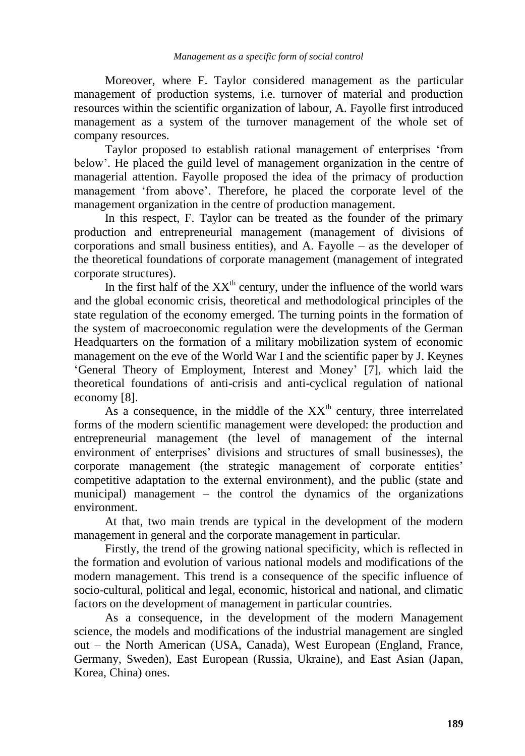Moreover, where F. Taylor considered management as the particular management of production systems, i.e. turnover of material and production resources within the scientific organization of labour, A. Fayolle first introduced management as a system of the turnover management of the whole set of company resources.

Taylor proposed to establish rational management of enterprises 'from below'. He placed the guild level of management organization in the centre of managerial attention. Fayolle proposed the idea of the primacy of production management 'from above'. Therefore, he placed the corporate level of the management organization in the centre of production management.

In this respect, F. Taylor can be treated as the founder of the primary production and entrepreneurial management (management of divisions of corporations and small business entities), and A. Fayolle – as the developer of the theoretical foundations of corporate management (management of integrated corporate structures).

In the first half of the  $XX<sup>th</sup>$  century, under the influence of the world wars and the global economic crisis, theoretical and methodological principles of the state regulation of the economy emerged. The turning points in the formation of the system of macroeconomic regulation were the developments of the German Headquarters on the formation of a military mobilization system of economic management on the eve of the World War I and the scientific paper by J. Keynes 'General Theory of Employment, Interest and Money' [7], which laid the theoretical foundations of anti-crisis and anti-cyclical regulation of national economy [8].

As a consequence, in the middle of the  $XX<sup>th</sup>$  century, three interrelated forms of the modern scientific management were developed: the production and entrepreneurial management (the level of management of the internal environment of enterprises' divisions and structures of small businesses), the corporate management (the strategic management of corporate entities' competitive adaptation to the external environment), and the public (state and municipal) management – the control the dynamics of the organizations environment.

At that, two main trends are typical in the development of the modern management in general and the corporate management in particular.

Firstly, the trend of the growing national specificity, which is reflected in the formation and evolution of various national models and modifications of the modern management. This trend is a consequence of the specific influence of socio-cultural, political and legal, economic, historical and national, and climatic factors on the development of management in particular countries.

As a consequence, in the development of the modern Management science, the models and modifications of the industrial management are singled out – the North American (USA, Canada), West European (England, France, Germany, Sweden), East European (Russia, Ukraine), and East Asian (Japan, Korea, China) ones.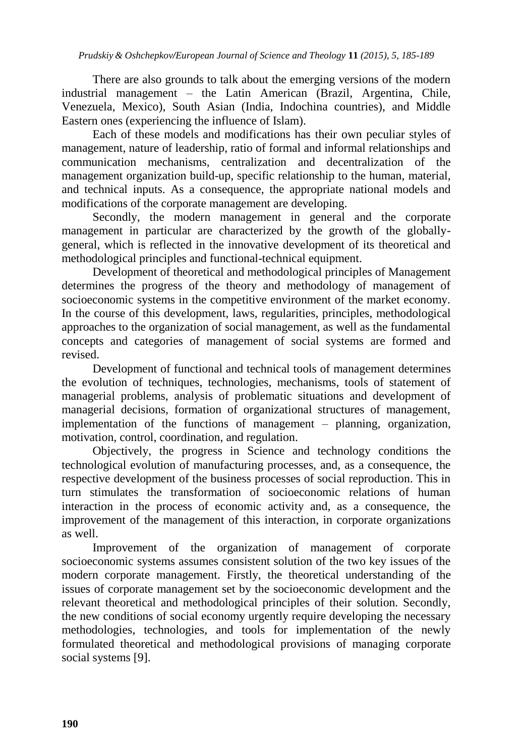There are also grounds to talk about the emerging versions of the modern industrial management – the Latin American (Brazil, Argentina, Chile, Venezuela, Mexico), South Asian (India, Indochina countries), and Middle Eastern ones (experiencing the influence of Islam).

Each of these models and modifications has their own peculiar styles of management, nature of leadership, ratio of formal and informal relationships and communication mechanisms, centralization and decentralization of the management organization build-up, specific relationship to the human, material, and technical inputs. As a consequence, the appropriate national models and modifications of the corporate management are developing.

Secondly, the modern management in general and the corporate management in particular are characterized by the growth of the globallygeneral, which is reflected in the innovative development of its theoretical and methodological principles and functional-technical equipment.

Development of theoretical and methodological principles of Management determines the progress of the theory and methodology of management of socioeconomic systems in the competitive environment of the market economy. In the course of this development, laws, regularities, principles, methodological approaches to the organization of social management, as well as the fundamental concepts and categories of management of social systems are formed and revised.

Development of functional and technical tools of management determines the evolution of techniques, technologies, mechanisms, tools of statement of managerial problems, analysis of problematic situations and development of managerial decisions, formation of organizational structures of management, implementation of the functions of management – planning, organization, motivation, control, coordination, and regulation.

Objectively, the progress in Science and technology conditions the technological evolution of manufacturing processes, and, as a consequence, the respective development of the business processes of social reproduction. This in turn stimulates the transformation of socioeconomic relations of human interaction in the process of economic activity and, as a consequence, the improvement of the management of this interaction, in corporate organizations as well.

Improvement of the organization of management of corporate socioeconomic systems assumes consistent solution of the two key issues of the modern corporate management. Firstly, the theoretical understanding of the issues of corporate management set by the socioeconomic development and the relevant theoretical and methodological principles of their solution. Secondly, the new conditions of social economy urgently require developing the necessary methodologies, technologies, and tools for implementation of the newly formulated theoretical and methodological provisions of managing corporate social systems [9].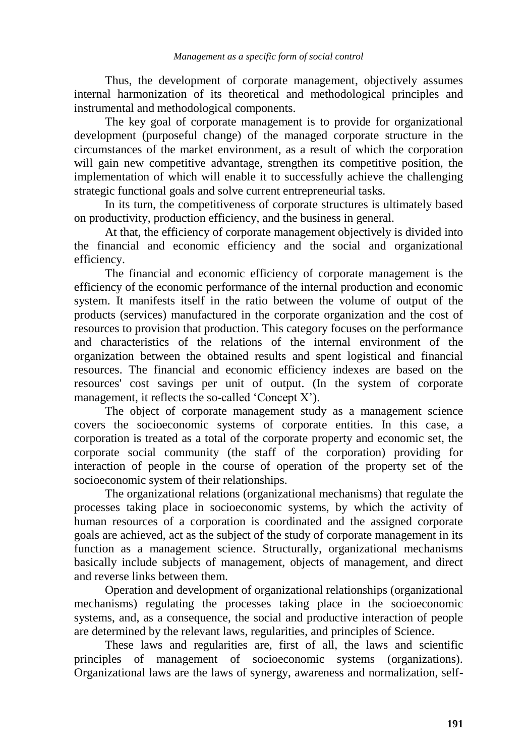Thus, the development of corporate management, objectively assumes internal harmonization of its theoretical and methodological principles and instrumental and methodological components.

The key goal of corporate management is to provide for organizational development (purposeful change) of the managed corporate structure in the circumstances of the market environment, as a result of which the corporation will gain new competitive advantage, strengthen its competitive position, the implementation of which will enable it to successfully achieve the challenging strategic functional goals and solve current entrepreneurial tasks.

In its turn, the competitiveness of corporate structures is ultimately based on productivity, production efficiency, and the business in general.

At that, the efficiency of corporate management objectively is divided into the financial and economic efficiency and the social and organizational efficiency.

The financial and economic efficiency of corporate management is the efficiency of the economic performance of the internal production and economic system. It manifests itself in the ratio between the volume of output of the products (services) manufactured in the corporate organization and the cost of resources to provision that production. This category focuses on the performance and characteristics of the relations of the internal environment of the organization between the obtained results and spent logistical and financial resources. The financial and economic efficiency indexes are based on the resources' cost savings per unit of output. (In the system of corporate management, it reflects the so-called 'Concept X').

The object of corporate management study as a management science covers the socioeconomic systems of corporate entities. In this case, a corporation is treated as a total of the corporate property and economic set, the corporate social community (the staff of the corporation) providing for interaction of people in the course of operation of the property set of the socioeconomic system of their relationships.

The organizational relations (organizational mechanisms) that regulate the processes taking place in socioeconomic systems, by which the activity of human resources of a corporation is coordinated and the assigned corporate goals are achieved, act as the subject of the study of corporate management in its function as a management science. Structurally, organizational mechanisms basically include subjects of management, objects of management, and direct and reverse links between them.

Operation and development of organizational relationships (organizational mechanisms) regulating the processes taking place in the socioeconomic systems, and, as a consequence, the social and productive interaction of people are determined by the relevant laws, regularities, and principles of Science.

These laws and regularities are, first of all, the laws and scientific principles of management of socioeconomic systems (organizations). Organizational laws are the laws of synergy, awareness and normalization, self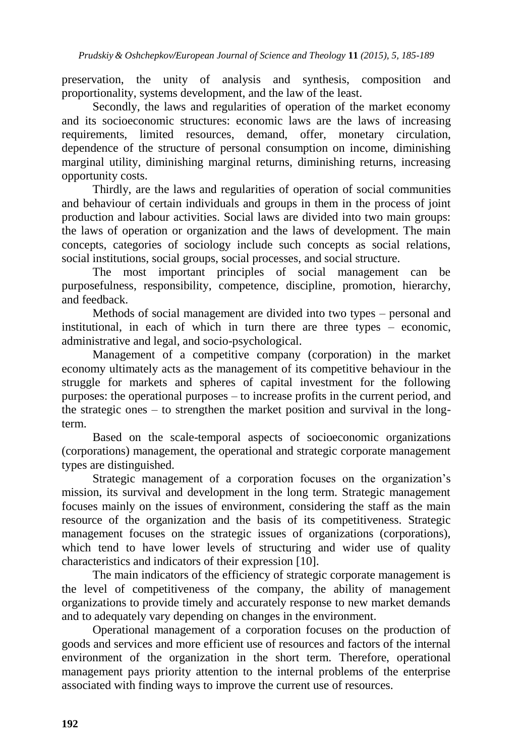preservation, the unity of analysis and synthesis, composition and proportionality, systems development, and the law of the least.

Secondly, the laws and regularities of operation of the market economy and its socioeconomic structures: economic laws are the laws of increasing requirements, limited resources, demand, offer, monetary circulation, dependence of the structure of personal consumption on income, diminishing marginal utility, diminishing marginal returns, diminishing returns, increasing opportunity costs.

Thirdly, are the laws and regularities of operation of social communities and behaviour of certain individuals and groups in them in the process of joint production and labour activities. Social laws are divided into two main groups: the laws of operation or organization and the laws of development. The main concepts, categories of sociology include such concepts as social relations, social institutions, social groups, social processes, and social structure.

The most important principles of social management can be purposefulness, responsibility, competence, discipline, promotion, hierarchy, and feedback.

Methods of social management are divided into two types – personal and institutional, in each of which in turn there are three types – economic, administrative and legal, and socio-psychological.

Management of a competitive company (corporation) in the market economy ultimately acts as the management of its competitive behaviour in the struggle for markets and spheres of capital investment for the following purposes: the operational purposes – to increase profits in the current period, and the strategic ones – to strengthen the market position and survival in the longterm.

Based on the scale-temporal aspects of socioeconomic organizations (corporations) management, the operational and strategic corporate management types are distinguished.

Strategic management of a corporation focuses on the organization's mission, its survival and development in the long term. Strategic management focuses mainly on the issues of environment, considering the staff as the main resource of the organization and the basis of its competitiveness. Strategic management focuses on the strategic issues of organizations (corporations), which tend to have lower levels of structuring and wider use of quality characteristics and indicators of their expression [10].

The main indicators of the efficiency of strategic corporate management is the level of competitiveness of the company, the ability of management organizations to provide timely and accurately response to new market demands and to adequately vary depending on changes in the environment.

Operational management of a corporation focuses on the production of goods and services and more efficient use of resources and factors of the internal environment of the organization in the short term. Therefore, operational management pays priority attention to the internal problems of the enterprise associated with finding ways to improve the current use of resources.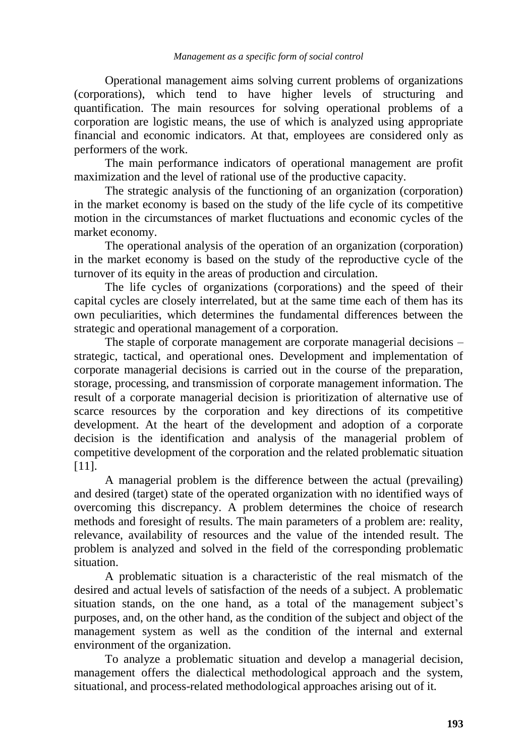Operational management aims solving current problems of organizations (corporations), which tend to have higher levels of structuring and quantification. The main resources for solving operational problems of a corporation are logistic means, the use of which is analyzed using appropriate financial and economic indicators. At that, employees are considered only as performers of the work.

The main performance indicators of operational management are profit maximization and the level of rational use of the productive capacity.

The strategic analysis of the functioning of an organization (corporation) in the market economy is based on the study of the life cycle of its competitive motion in the circumstances of market fluctuations and economic cycles of the market economy.

The operational analysis of the operation of an organization (corporation) in the market economy is based on the study of the reproductive cycle of the turnover of its equity in the areas of production and circulation.

The life cycles of organizations (corporations) and the speed of their capital cycles are closely interrelated, but at the same time each of them has its own peculiarities, which determines the fundamental differences between the strategic and operational management of a corporation.

The staple of corporate management are corporate managerial decisions – strategic, tactical, and operational ones. Development and implementation of corporate managerial decisions is carried out in the course of the preparation, storage, processing, and transmission of corporate management information. The result of a corporate managerial decision is prioritization of alternative use of scarce resources by the corporation and key directions of its competitive development. At the heart of the development and adoption of a corporate decision is the identification and analysis of the managerial problem of competitive development of the corporation and the related problematic situation [11].

A managerial problem is the difference between the actual (prevailing) and desired (target) state of the operated organization with no identified ways of overcoming this discrepancy. A problem determines the choice of research methods and foresight of results. The main parameters of a problem are: reality, relevance, availability of resources and the value of the intended result. The problem is analyzed and solved in the field of the corresponding problematic situation.

A problematic situation is a characteristic of the real mismatch of the desired and actual levels of satisfaction of the needs of a subject. A problematic situation stands, on the one hand, as a total of the management subject's purposes, and, on the other hand, as the condition of the subject and object of the management system as well as the condition of the internal and external environment of the organization.

To analyze a problematic situation and develop a managerial decision, management offers the dialectical methodological approach and the system, situational, and process-related methodological approaches arising out of it.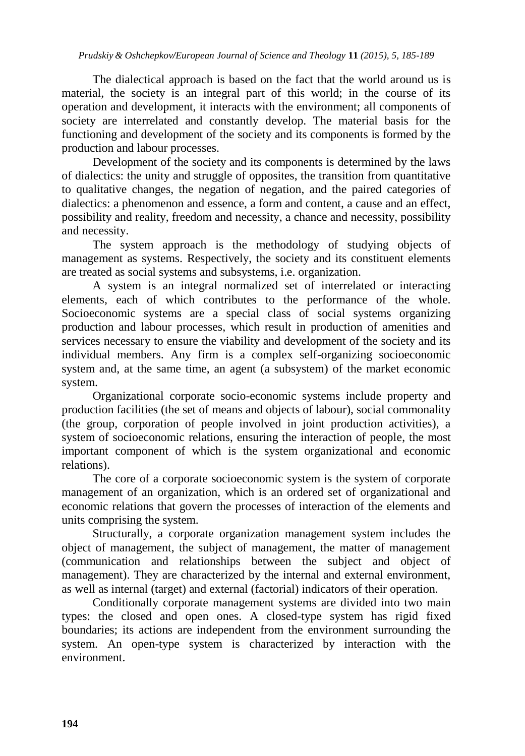The dialectical approach is based on the fact that the world around us is material, the society is an integral part of this world; in the course of its operation and development, it interacts with the environment; all components of society are interrelated and constantly develop. The material basis for the functioning and development of the society and its components is formed by the production and labour processes.

Development of the society and its components is determined by the laws of dialectics: the unity and struggle of opposites, the transition from quantitative to qualitative changes, the negation of negation, and the paired categories of dialectics: a phenomenon and essence, a form and content, a cause and an effect, possibility and reality, freedom and necessity, a chance and necessity, possibility and necessity.

The system approach is the methodology of studying objects of management as systems. Respectively, the society and its constituent elements are treated as social systems and subsystems, i.e. organization.

A system is an integral normalized set of interrelated or interacting elements, each of which contributes to the performance of the whole. Socioeconomic systems are a special class of social systems organizing production and labour processes, which result in production of amenities and services necessary to ensure the viability and development of the society and its individual members. Any firm is a complex self-organizing socioeconomic system and, at the same time, an agent (a subsystem) of the market economic system.

Organizational corporate socio-economic systems include property and production facilities (the set of means and objects of labour), social commonality (the group, corporation of people involved in joint production activities), a system of socioeconomic relations, ensuring the interaction of people, the most important component of which is the system organizational and economic relations).

The core of a corporate socioeconomic system is the system of corporate management of an organization, which is an ordered set of organizational and economic relations that govern the processes of interaction of the elements and units comprising the system.

Structurally, a corporate organization management system includes the object of management, the subject of management, the matter of management (communication and relationships between the subject and object of management). They are characterized by the internal and external environment, as well as internal (target) and external (factorial) indicators of their operation.

Conditionally corporate management systems are divided into two main types: the closed and open ones. A closed-type system has rigid fixed boundaries; its actions are independent from the environment surrounding the system. An open-type system is characterized by interaction with the environment.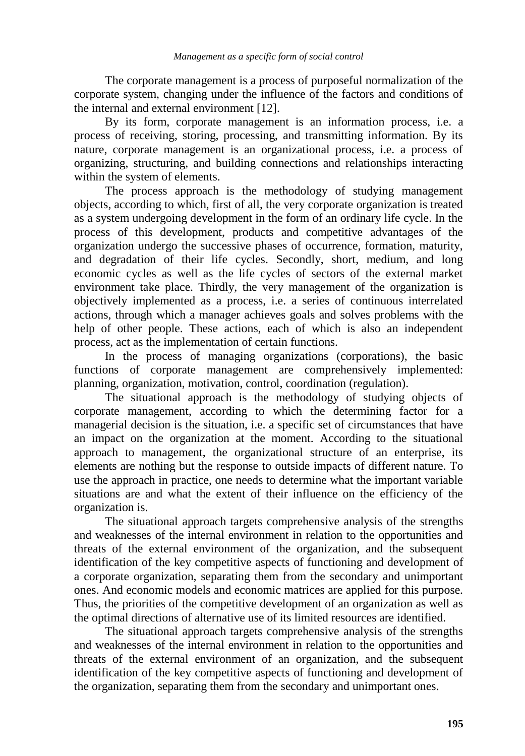The corporate management is a process of purposeful normalization of the corporate system, changing under the influence of the factors and conditions of the internal and external environment [12].

By its form, corporate management is an information process, i.e. a process of receiving, storing, processing, and transmitting information. By its nature, corporate management is an organizational process, i.e. a process of organizing, structuring, and building connections and relationships interacting within the system of elements.

The process approach is the methodology of studying management objects, according to which, first of all, the very corporate organization is treated as a system undergoing development in the form of an ordinary life cycle. In the process of this development, products and competitive advantages of the organization undergo the successive phases of occurrence, formation, maturity, and degradation of their life cycles. Secondly, short, medium, and long economic cycles as well as the life cycles of sectors of the external market environment take place. Thirdly, the very management of the organization is objectively implemented as a process, i.e. a series of continuous interrelated actions, through which a manager achieves goals and solves problems with the help of other people. These actions, each of which is also an independent process, act as the implementation of certain functions.

In the process of managing organizations (corporations), the basic functions of corporate management are comprehensively implemented: planning, organization, motivation, control, coordination (regulation).

The situational approach is the methodology of studying objects of corporate management, according to which the determining factor for a managerial decision is the situation, i.e. a specific set of circumstances that have an impact on the organization at the moment. According to the situational approach to management, the organizational structure of an enterprise, its elements are nothing but the response to outside impacts of different nature. To use the approach in practice, one needs to determine what the important variable situations are and what the extent of their influence on the efficiency of the organization is.

The situational approach targets comprehensive analysis of the strengths and weaknesses of the internal environment in relation to the opportunities and threats of the external environment of the organization, and the subsequent identification of the key competitive aspects of functioning and development of a corporate organization, separating them from the secondary and unimportant ones. And economic models and economic matrices are applied for this purpose. Thus, the priorities of the competitive development of an organization as well as the optimal directions of alternative use of its limited resources are identified.

The situational approach targets comprehensive analysis of the strengths and weaknesses of the internal environment in relation to the opportunities and threats of the external environment of an organization, and the subsequent identification of the key competitive aspects of functioning and development of the organization, separating them from the secondary and unimportant ones.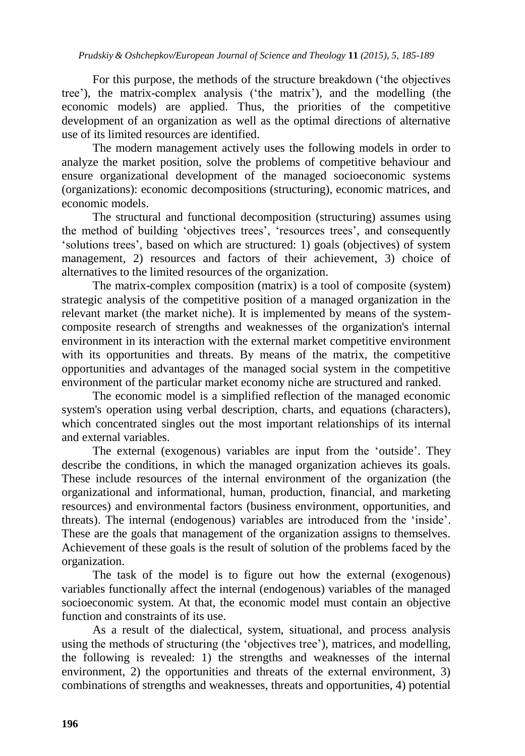For this purpose, the methods of the structure breakdown ('the objectives tree'), the matrix-complex analysis ('the matrix'), and the modelling (the economic models) are applied. Thus, the priorities of the competitive development of an organization as well as the optimal directions of alternative use of its limited resources are identified.

The modern management actively uses the following models in order to analyze the market position, solve the problems of competitive behaviour and ensure organizational development of the managed socioeconomic systems (organizations): economic decompositions (structuring), economic matrices, and economic models.

The structural and functional decomposition (structuring) assumes using the method of building 'objectives trees', 'resources trees', and consequently 'solutions trees', based on which are structured: 1) goals (objectives) of system management, 2) resources and factors of their achievement, 3) choice of alternatives to the limited resources of the organization.

The matrix-complex composition (matrix) is a tool of composite (system) strategic analysis of the competitive position of a managed organization in the relevant market (the market niche). It is implemented by means of the systemcomposite research of strengths and weaknesses of the organization's internal environment in its interaction with the external market competitive environment with its opportunities and threats. By means of the matrix, the competitive opportunities and advantages of the managed social system in the competitive environment of the particular market economy niche are structured and ranked.

The economic model is a simplified reflection of the managed economic system's operation using verbal description, charts, and equations (characters), which concentrated singles out the most important relationships of its internal and external variables.

The external (exogenous) variables are input from the 'outside'. They describe the conditions, in which the managed organization achieves its goals. These include resources of the internal environment of the organization (the organizational and informational, human, production, financial, and marketing resources) and environmental factors (business environment, opportunities, and threats). The internal (endogenous) variables are introduced from the 'inside'. These are the goals that management of the organization assigns to themselves. Achievement of these goals is the result of solution of the problems faced by the organization.

The task of the model is to figure out how the external (exogenous) variables functionally affect the internal (endogenous) variables of the managed socioeconomic system. At that, the economic model must contain an objective function and constraints of its use.

As a result of the dialectical, system, situational, and process analysis using the methods of structuring (the 'objectives tree'), matrices, and modelling, the following is revealed: 1) the strengths and weaknesses of the internal environment, 2) the opportunities and threats of the external environment, 3) combinations of strengths and weaknesses, threats and opportunities, 4) potential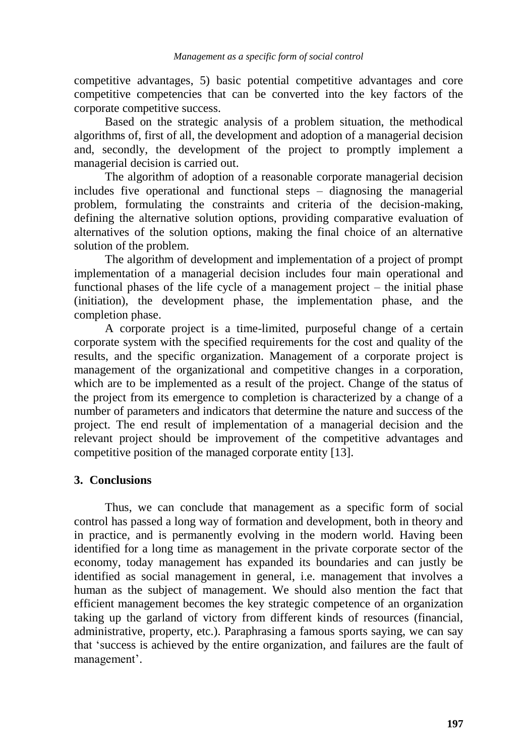competitive advantages, 5) basic potential competitive advantages and core competitive competencies that can be converted into the key factors of the corporate competitive success.

Based on the strategic analysis of a problem situation, the methodical algorithms of, first of all, the development and adoption of a managerial decision and, secondly, the development of the project to promptly implement a managerial decision is carried out.

The algorithm of adoption of a reasonable corporate managerial decision includes five operational and functional steps – diagnosing the managerial problem, formulating the constraints and criteria of the decision-making, defining the alternative solution options, providing comparative evaluation of alternatives of the solution options, making the final choice of an alternative solution of the problem.

The algorithm of development and implementation of a project of prompt implementation of a managerial decision includes four main operational and functional phases of the life cycle of a management project – the initial phase (initiation), the development phase, the implementation phase, and the completion phase.

A corporate project is a time-limited, purposeful change of a certain corporate system with the specified requirements for the cost and quality of the results, and the specific organization. Management of a corporate project is management of the organizational and competitive changes in a corporation, which are to be implemented as a result of the project. Change of the status of the project from its emergence to completion is characterized by a change of a number of parameters and indicators that determine the nature and success of the project. The end result of implementation of a managerial decision and the relevant project should be improvement of the competitive advantages and competitive position of the managed corporate entity [13].

### **3. Conclusions**

Thus, we can conclude that management as a specific form of social control has passed a long way of formation and development, both in theory and in practice, and is permanently evolving in the modern world. Having been identified for a long time as management in the private corporate sector of the economy, today management has expanded its boundaries and can justly be identified as social management in general, i.e. management that involves a human as the subject of management. We should also mention the fact that efficient management becomes the key strategic competence of an organization taking up the garland of victory from different kinds of resources (financial, administrative, property, etc.). Paraphrasing a famous sports saying, we can say that 'success is achieved by the entire organization, and failures are the fault of management'.